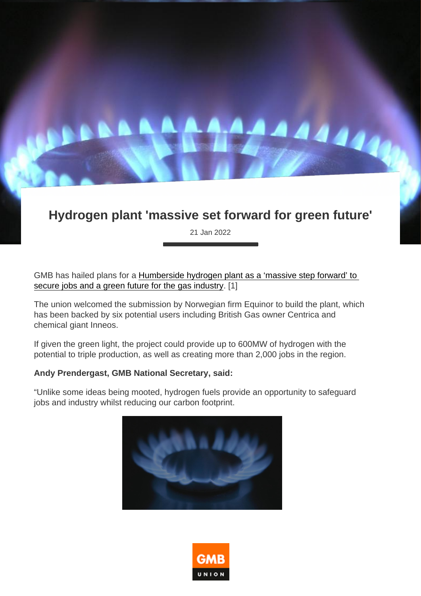## Hydrogen plant 'massive set forward for green future'

21 Jan 2022

GMB has hailed plans for a [Humberside hydrogen plant as a 'massive step forward' to](https://www.business-live.co.uk/manufacturing/equinor-submits-humber-hydrogen-production-22820261 )  [secure jobs and a green future for the gas industry](https://www.business-live.co.uk/manufacturing/equinor-submits-humber-hydrogen-production-22820261 ). [1]

The union welcomed the submission by Norwegian firm Equinor to build the plant, which has been backed by six potential users including British Gas owner Centrica and chemical giant Inneos.

If given the green light, the project could provide up to 600MW of hydrogen with the potential to triple production, as well as creating more than 2,000 jobs in the region.

Andy Prendergast, GMB National Secretary, said:

"Unlike some ideas being mooted, hydrogen fuels provide an opportunity to safeguard jobs and industry whilst reducing our carbon footprint.